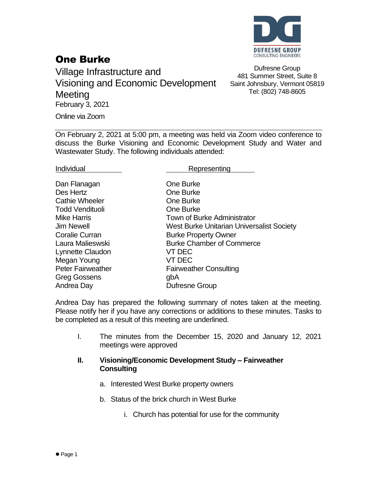

## One Burke

Village Infrastructure and Visioning and Economic Development **Meeting** February 3, 2021

Dufresne Group 481 Summer Street, Suite 8 Saint Johnsbury, Vermont 05819 Tel: (802) 748-8605

Online via Zoom

On February 2, 2021 at 5:00 pm, a meeting was held via Zoom video conference to discuss the Burke Visioning and Economic Development Study and Water and Wastewater Study. The following individuals attended:

Individual **Representing** 

| Dan Flanagan             | One Burke                                 |
|--------------------------|-------------------------------------------|
| Des Hertz                | One Burke                                 |
| <b>Cathie Wheeler</b>    | One Burke                                 |
| <b>Todd Vendituoli</b>   | One Burke                                 |
| <b>Mike Harris</b>       | Town of Burke Administrator               |
| <b>Jim Newell</b>        | West Burke Unitarian Universalist Society |
| <b>Coralie Curran</b>    | <b>Burke Property Owner</b>               |
| Laura Malieswski         | <b>Burke Chamber of Commerce</b>          |
| Lynnette Claudon         | VT DEC                                    |
| Megan Young              | VT DEC                                    |
| <b>Peter Fairweather</b> | <b>Fairweather Consulting</b>             |
| <b>Greg Gossens</b>      | gbA                                       |
| Andrea Day               | <b>Dufresne Group</b>                     |

Andrea Day has prepared the following summary of notes taken at the meeting. Please notify her if you have any corrections or additions to these minutes. Tasks to be completed as a result of this meeting are underlined.

I. The minutes from the December 15, 2020 and January 12, 2021 meetings were approved

## **II. Visioning/Economic Development Study – Fairweather Consulting**

- a. Interested West Burke property owners
- b. Status of the brick church in West Burke
	- i. Church has potential for use for the community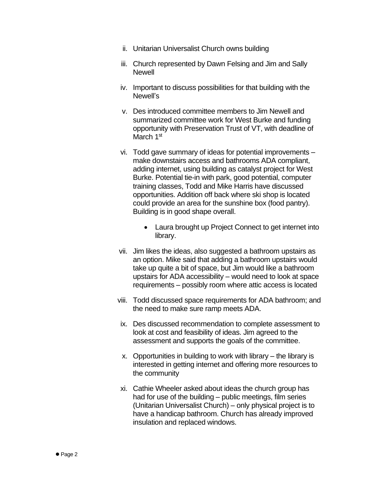- ii. Unitarian Universalist Church owns building
- iii. Church represented by Dawn Felsing and Jim and Sally **Newell**
- iv. Important to discuss possibilities for that building with the Newell's
- v. Des introduced committee members to Jim Newell and summarized committee work for West Burke and funding opportunity with Preservation Trust of VT, with deadline of March 1<sup>st</sup>
- vi. Todd gave summary of ideas for potential improvements make downstairs access and bathrooms ADA compliant, adding internet, using building as catalyst project for West Burke. Potential tie-in with park, good potential, computer training classes, Todd and Mike Harris have discussed opportunities. Addition off back where ski shop is located could provide an area for the sunshine box (food pantry). Building is in good shape overall.
	- Laura brought up Project Connect to get internet into library.
- vii. Jim likes the ideas, also suggested a bathroom upstairs as an option. Mike said that adding a bathroom upstairs would take up quite a bit of space, but Jim would like a bathroom upstairs for ADA accessibility – would need to look at space requirements – possibly room where attic access is located
- viii. Todd discussed space requirements for ADA bathroom; and the need to make sure ramp meets ADA.
- ix. Des discussed recommendation to complete assessment to look at cost and feasibility of ideas. Jim agreed to the assessment and supports the goals of the committee.
- x. Opportunities in building to work with library the library is interested in getting internet and offering more resources to the community
- xi. Cathie Wheeler asked about ideas the church group has had for use of the building – public meetings, film series (Unitarian Universalist Church) – only physical project is to have a handicap bathroom. Church has already improved insulation and replaced windows.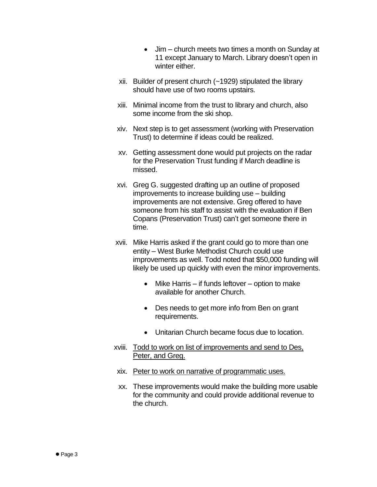- Jim church meets two times a month on Sunday at 11 except January to March. Library doesn't open in winter either.
- xii. Builder of present church (~1929) stipulated the library should have use of two rooms upstairs.
- xiii. Minimal income from the trust to library and church, also some income from the ski shop.
- xiv. Next step is to get assessment (working with Preservation Trust) to determine if ideas could be realized.
- xv. Getting assessment done would put projects on the radar for the Preservation Trust funding if March deadline is missed.
- xvi. Greg G. suggested drafting up an outline of proposed improvements to increase building use – building improvements are not extensive. Greg offered to have someone from his staff to assist with the evaluation if Ben Copans (Preservation Trust) can't get someone there in time.
- xvii. Mike Harris asked if the grant could go to more than one entity – West Burke Methodist Church could use improvements as well. Todd noted that \$50,000 funding will likely be used up quickly with even the minor improvements.
	- Mike Harris if funds leftover option to make available for another Church.
	- Des needs to get more info from Ben on grant requirements.
	- Unitarian Church became focus due to location.
- xviii. Todd to work on list of improvements and send to Des, Peter, and Greg.
- xix. Peter to work on narrative of programmatic uses.
- xx. These improvements would make the building more usable for the community and could provide additional revenue to the church.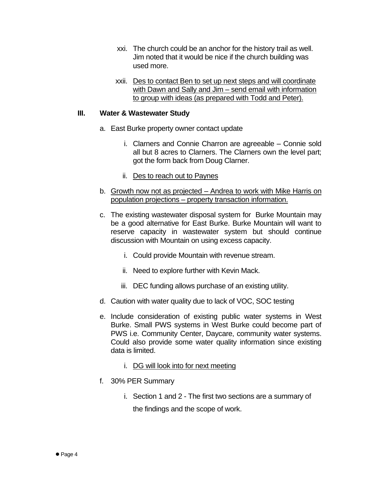- xxi. The church could be an anchor for the history trail as well. Jim noted that it would be nice if the church building was used more.
- xxii. Des to contact Ben to set up next steps and will coordinate with Dawn and Sally and Jim – send email with information to group with ideas (as prepared with Todd and Peter).

## **III. Water & Wastewater Study**

- a. East Burke property owner contact update
	- i. Clarners and Connie Charron are agreeable Connie sold all but 8 acres to Clarners. The Clarners own the level part; got the form back from Doug Clarner.
	- ii. Des to reach out to Paynes
- b. Growth now not as projected Andrea to work with Mike Harris on population projections – property transaction information.
- c. The existing wastewater disposal system for Burke Mountain may be a good alternative for East Burke. Burke Mountain will want to reserve capacity in wastewater system but should continue discussion with Mountain on using excess capacity.
	- i. Could provide Mountain with revenue stream.
	- ii. Need to explore further with Kevin Mack.
	- iii. DEC funding allows purchase of an existing utility.
- d. Caution with water quality due to lack of VOC, SOC testing
- e. Include consideration of existing public water systems in West Burke. Small PWS systems in West Burke could become part of PWS i.e. Community Center, Daycare, community water systems. Could also provide some water quality information since existing data is limited.
	- i. DG will look into for next meeting
- f. 30% PER Summary
	- i. Section 1 and 2 The first two sections are a summary of the findings and the scope of work.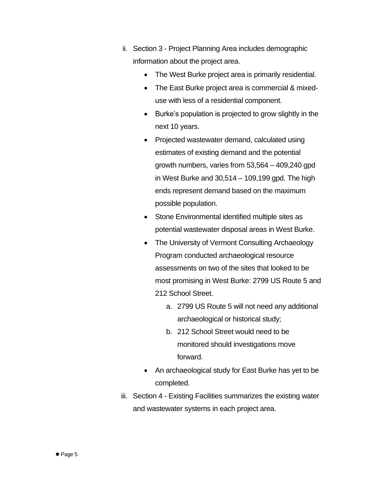- ii. Section 3 Project Planning Area includes demographic information about the project area.
	- The West Burke project area is primarily residential.
	- The East Burke project area is commercial & mixeduse with less of a residential component.
	- Burke's population is projected to grow slightly in the next 10 years.
	- Projected wastewater demand, calculated using estimates of existing demand and the potential growth numbers, varies from 53,564 – 409,240 gpd in West Burke and 30,514 – 109,199 gpd. The high ends represent demand based on the maximum possible population.
	- Stone Environmental identified multiple sites as potential wastewater disposal areas in West Burke.
	- The University of Vermont Consulting Archaeology Program conducted archaeological resource assessments on two of the sites that looked to be most promising in West Burke: 2799 US Route 5 and 212 School Street.
		- a. 2799 US Route 5 will not need any additional archaeological or historical study;
		- b. 212 School Street would need to be monitored should investigations move forward.
	- An archaeological study for East Burke has yet to be completed.
- iii. Section 4 Existing Facilities summarizes the existing water and wastewater systems in each project area.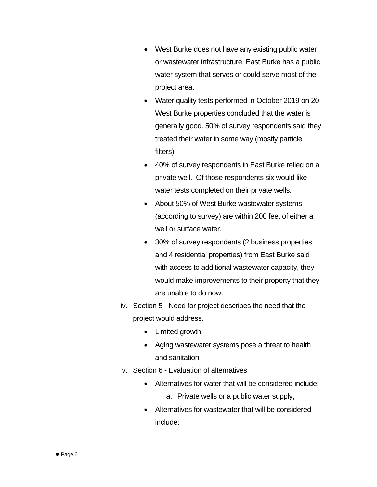- West Burke does not have any existing public water or wastewater infrastructure. East Burke has a public water system that serves or could serve most of the project area.
- Water quality tests performed in October 2019 on 20 West Burke properties concluded that the water is generally good. 50% of survey respondents said they treated their water in some way (mostly particle filters).
- 40% of survey respondents in East Burke relied on a private well. Of those respondents six would like water tests completed on their private wells.
- About 50% of West Burke wastewater systems (according to survey) are within 200 feet of either a well or surface water.
- 30% of survey respondents (2 business properties and 4 residential properties) from East Burke said with access to additional wastewater capacity, they would make improvements to their property that they are unable to do now.
- iv. Section 5 Need for project describes the need that the project would address.
	- Limited growth
	- Aging wastewater systems pose a threat to health and sanitation
- v. Section 6 Evaluation of alternatives
	- Alternatives for water that will be considered include:
		- a. Private wells or a public water supply,
	- Alternatives for wastewater that will be considered include: